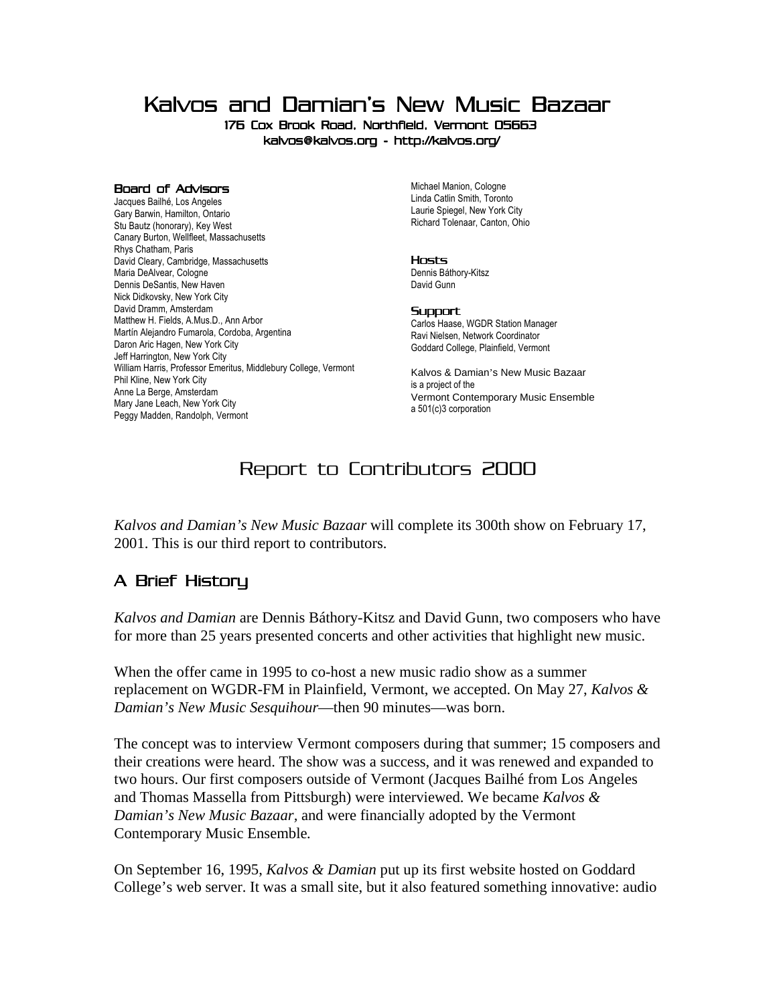Kalvos and Damian's New Music Bazaar

176 Cox Brook Road, Northfield, Vermont 05663 kalvos@kalvos.org - http://kalvos.org/

#### Board of Advisors

Jacques Bailhé, Los Angeles i Gary Barwin, Hamilton, Ontario Stu Bautz (honorary), Key West Canary Burton, Wellfleet, Massachusetts Rhys Chatham, Paris David Cleary, Cambridge, Massachusetts Maria DeAlvear, Cologne Dennis DeSantis, New Haven Nick Didkovsky, New York City David Dramm, Amsterdam Matthew H. Fields, A.Mus.D., Ann Arbor Martín Alejandro Fumarola, Cordoba, Argentina Daron Aric Hagen, New York City Jeff Harrington, New York City William Harris, Professor Emeritus, Middlebury College, Vermont Phil Kline, New York City Anne La Berge, Amsterdam Mary Jane Leach, New York City Peggy Madden, Randolph, Vermont

Michael Manion, Cologne Linda Catlin Smith, Toronto Laurie Spiegel, New York City Richard Tolenaar, Canton, Ohio

### Hosts

Dennis Báthory-Kitsz David Gunn

### **Support**

Carlos Haase, WGDR Station Manager Ravi Nielsen, Network Coordinator Goddard College, Plainfield, Vermont i

Kalvos & Damian's New Music Bazaar i s a project of the Vermont Contemporary Music Ensemble a 501(c)3 corporation

# Report to Contributors 2000

*Kalvos and Damian's New Music Bazaar* will complete its 300th show on February 17, 2001. This is our third report to contributors.

## A Brief History

*Kalvos and Damian* are Dennis Báthory-Kitsz and David Gunn, two composers who have for more than 25 years presented concerts and other activities that highlight new music.

When the offer came in 1995 to co-host a new music radio show as a summer replacement on WGDR-FM in Plainfield, Vermont, we accepted. On May 27, *Kalvos & Damian's New Music Sesquihour*—then 90 minutes—was born.

The concept was to interview Vermont composers during that summer; 15 composers and their creations were heard. The show was a success, and it was renewed and expanded to two hours. Our first composers outside of Vermont (Jacques Bailhé from Los Angeles and Thomas Massella from Pittsburgh) were interviewed. We became *Kalvos & Damian's New Music Bazaar,* and were financially adopted by the Vermont Contemporary Music Ensemble*.*

On September 16, 1995, *Kalvos & Damian* put up its first website hosted on Goddard College's web server. It was a small site, but it also featured something innovative: audio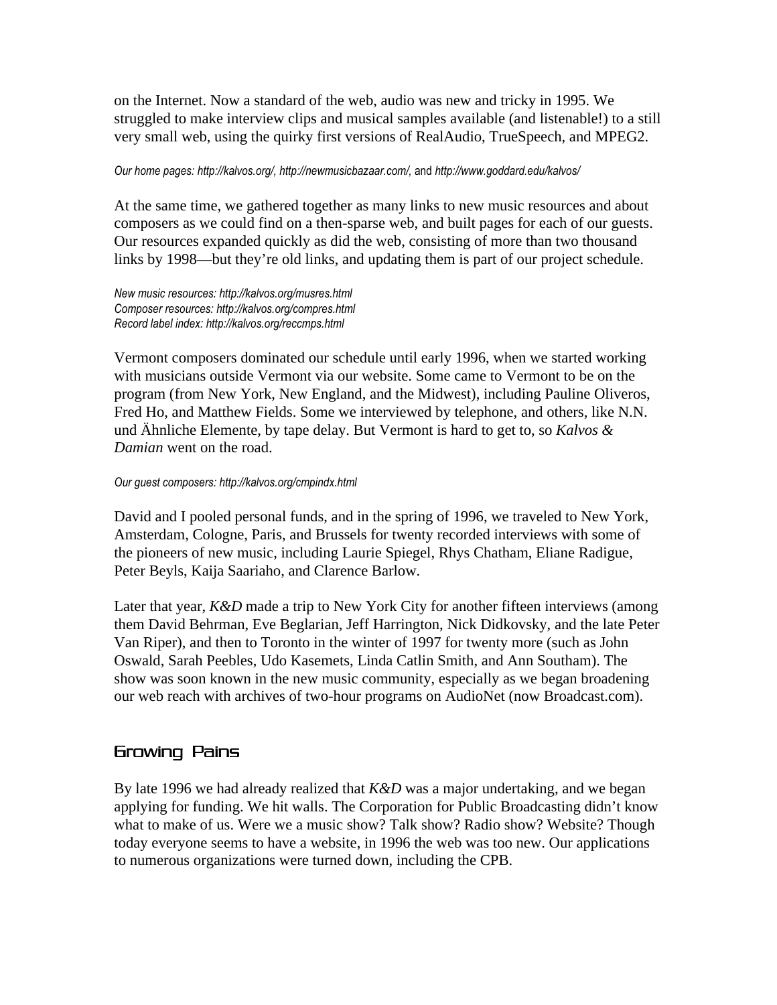on the Internet. Now a standard of the web, audio was new and tricky in 1995. We struggled to make interview clips and musical samples available (and listenable!) to a still very small web, using the quirky first versions of RealAudio, TrueSpeech, and MPEG2.

### Our home pages: http://kalvos.org/, http://newmusicbazaar.com/, and http://www.goddard.edu/kalvos/

At the same time, we gathered together as many links to new music resources and about composers as we could find on a then-sparse web, and built pages for each of our guests. Our resources expanded quickly as did the web, consisting of more than two thousand links by 1998—but they're old links, and updating them is part of our project schedule.

New music resources: http://kalvos.org/musres.html Composer resources: http://kalvos.org/compres.html Record label index: http://kalvos.org/reccmps.html

Vermont composers dominated our schedule until early 1996, when we started working with musicians outside Vermont via our website. Some came to Vermont to be on the program (from New York, New England, and the Midwest), including Pauline Oliveros, Fred Ho, and Matthew Fields. Some we interviewed by telephone, and others, like N.N. und Ähnliche Elemente, by tape delay. But Vermont is hard to get to, so *Kalvos & Damian* went on the road.

## Our guest composers: http://kalvos.org/cmpindx.html

David and I pooled personal funds, and in the spring of 1996, we traveled to New York, Amsterdam, Cologne, Paris, and Brussels for twenty recorded interviews with some of the pioneers of new music, including Laurie Spiegel, Rhys Chatham, Eliane Radigue, Peter Beyls, Kaija Saariaho, and Clarence Barlow.

Later that year, *K&D* made a trip to New York City for another fifteen interviews (among them David Behrman, Eve Beglarian, Jeff Harrington, Nick Didkovsky, and the late Peter Van Riper), and then to Toronto in the winter of 1997 for twenty more (such as John Oswald, Sarah Peebles, Udo Kasemets, Linda Catlin Smith, and Ann Southam). The show was soon known in the new music community, especially as we began broadening our web reach with archives of two-hour programs on AudioNet (now Broadcast.com).

## Growing Pains

By late 1996 we had already realized that *K&D* was a major undertaking, and we began applying for funding. We hit walls. The Corporation for Public Broadcasting didn't know what to make of us. Were we a music show? Talk show? Radio show? Website? Though today everyone seems to have a website, in 1996 the web was too new. Our applications to numerous organizations were turned down, including the CPB.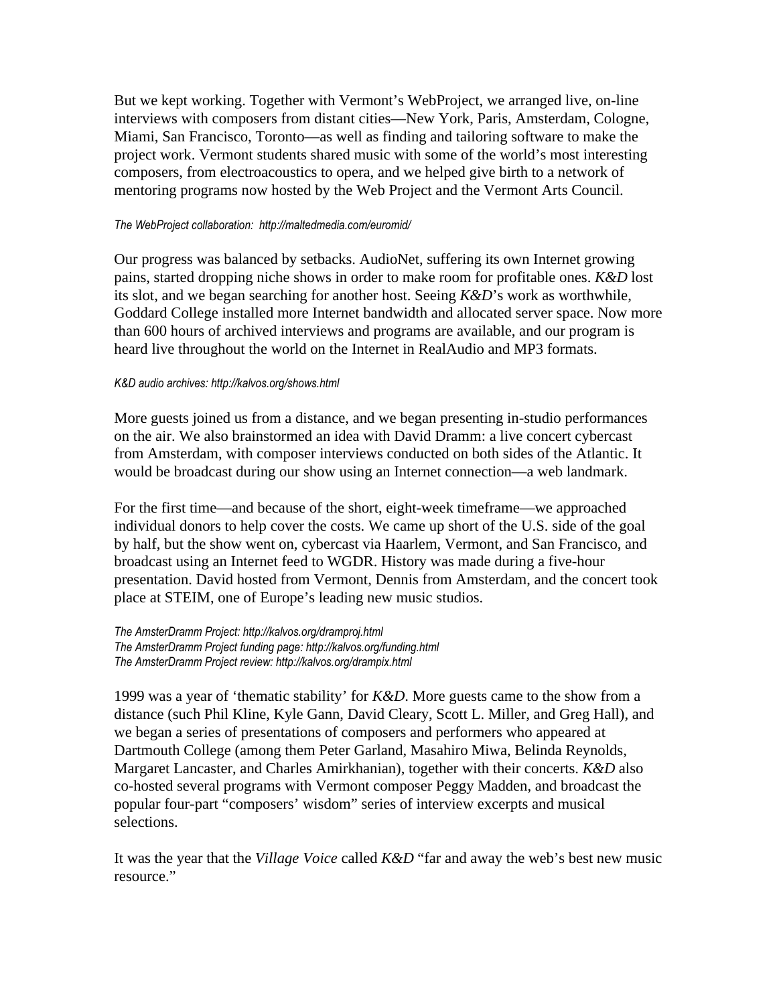But we kept working. Together with Vermont's WebProject, we arranged live, on-line interviews with composers from distant cities—New York, Paris, Amsterdam, Cologne, Miami, San Francisco, Toronto—as well as finding and tailoring software to make the project work. Vermont students shared music with some of the world's most interesting composers, from electroacoustics to opera, and we helped give birth to a network of mentoring programs now hosted by the Web Project and the Vermont Arts Council.

### The WebProject collaboration: http://maltedmedia.com/euromid/

Our progress was balanced by setbacks. AudioNet, suffering its own Internet growing pains, started dropping niche shows in order to make room for profitable ones. *K&D* lost its slot, and we began searching for another host. Seeing *K&D*'s work as worthwhile, Goddard College installed more Internet bandwidth and allocated server space. Now more than 600 hours of archived interviews and programs are available, and our program is heard live throughout the world on the Internet in RealAudio and MP3 formats.

### K&D audio archives: http://kalvos.org/shows.html

More guests joined us from a distance, and we began presenting in-studio performances on the air. We also brainstormed an idea with David Dramm: a live concert cybercast from Amsterdam, with composer interviews conducted on both sides of the Atlantic. It would be broadcast during our show using an Internet connection—a web landmark.

For the first time—and because of the short, eight-week timeframe—we approached individual donors to help cover the costs. We came up short of the U.S. side of the goal by half, but the show went on, cybercast via Haarlem, Vermont, and San Francisco, and broadcast using an Internet feed to WGDR. History was made during a five-hour presentation. David hosted from Vermont, Dennis from Amsterdam, and the concert took place at STEIM, one of Europe's leading new music studios.

The AmsterDramm Project: http://kalvos.org/dramproj.html The AmsterDramm Project funding page: http://kalvos.org/funding.html The AmsterDramm Project review: http://kalvos.org/drampix.html

1999 was a year of 'thematic stability' for *K&D*. More guests came to the show from a distance (such Phil Kline, Kyle Gann, David Cleary, Scott L. Miller, and Greg Hall), and we began a series of presentations of composers and performers who appeared at Dartmouth College (among them Peter Garland, Masahiro Miwa, Belinda Reynolds, Margaret Lancaster, and Charles Amirkhanian), together with their concerts. *K&D* also co-hosted several programs with Vermont composer Peggy Madden, and broadcast the popular four-part "composers' wisdom" series of interview excerpts and musical selections.

It was the year that the *Village Voice* called *K&D* "far and away the web's best new music resource."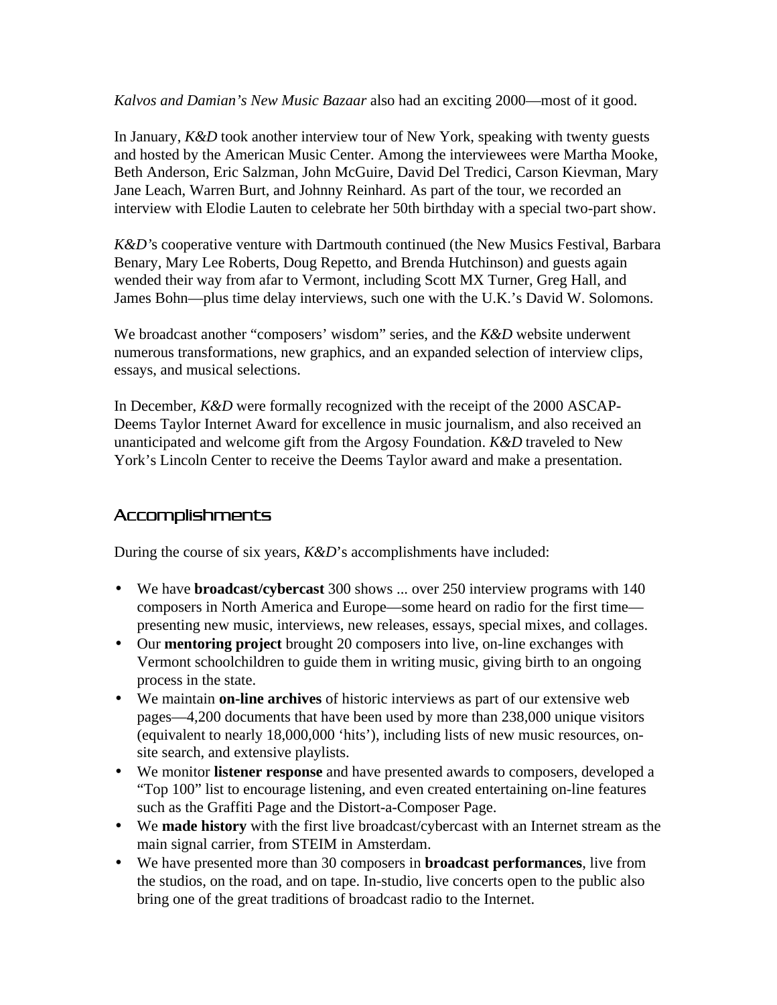*Kalvos and Damian's New Music Bazaar* also had an exciting 2000—most of it good.

In January, *K&D* took another interview tour of New York, speaking with twenty guests and hosted by the American Music Center. Among the interviewees were Martha Mooke, Beth Anderson, Eric Salzman, John McGuire, David Del Tredici, Carson Kievman, Mary Jane Leach, Warren Burt, and Johnny Reinhard. As part of the tour, we recorded an interview with Elodie Lauten to celebrate her 50th birthday with a special two-part show.

*K&D'*s cooperative venture with Dartmouth continued (the New Musics Festival, Barbara Benary, Mary Lee Roberts, Doug Repetto, and Brenda Hutchinson) and guests again wended their way from afar to Vermont, including Scott MX Turner, Greg Hall, and James Bohn—plus time delay interviews, such one with the U.K.'s David W. Solomons.

We broadcast another "composers' wisdom" series, and the *K&D* website underwent numerous transformations, new graphics, and an expanded selection of interview clips, essays, and musical selections.

In December, *K&D* were formally recognized with the receipt of the 2000 ASCAP-Deems Taylor Internet Award for excellence in music journalism, and also received an unanticipated and welcome gift from the Argosy Foundation. *K&D* traveled to New York's Lincoln Center to receive the Deems Taylor award and make a presentation.

## Accomplishments

During the course of six years, *K&D*'s accomplishments have included:

- We have **broadcast/cybercast** 300 shows ... over 250 interview programs with 140 composers in North America and Europe—some heard on radio for the first time presenting new music, interviews, new releases, essays, special mixes, and collages.
- Our **mentoring project** brought 20 composers into live, on-line exchanges with Vermont schoolchildren to guide them in writing music, giving birth to an ongoing process in the state.
- We maintain **on-line archives** of historic interviews as part of our extensive web pages—4,200 documents that have been used by more than 238,000 unique visitors (equivalent to nearly 18,000,000 'hits'), including lists of new music resources, onsite search, and extensive playlists.
- We monitor **listener response** and have presented awards to composers, developed a "Top 100" list to encourage listening, and even created entertaining on-line features such as the Graffiti Page and the Distort-a-Composer Page.
- We **made history** with the first live broadcast/cybercast with an Internet stream as the main signal carrier, from STEIM in Amsterdam.
- We have presented more than 30 composers in **broadcast performances**, live from the studios, on the road, and on tape. In-studio, live concerts open to the public also bring one of the great traditions of broadcast radio to the Internet.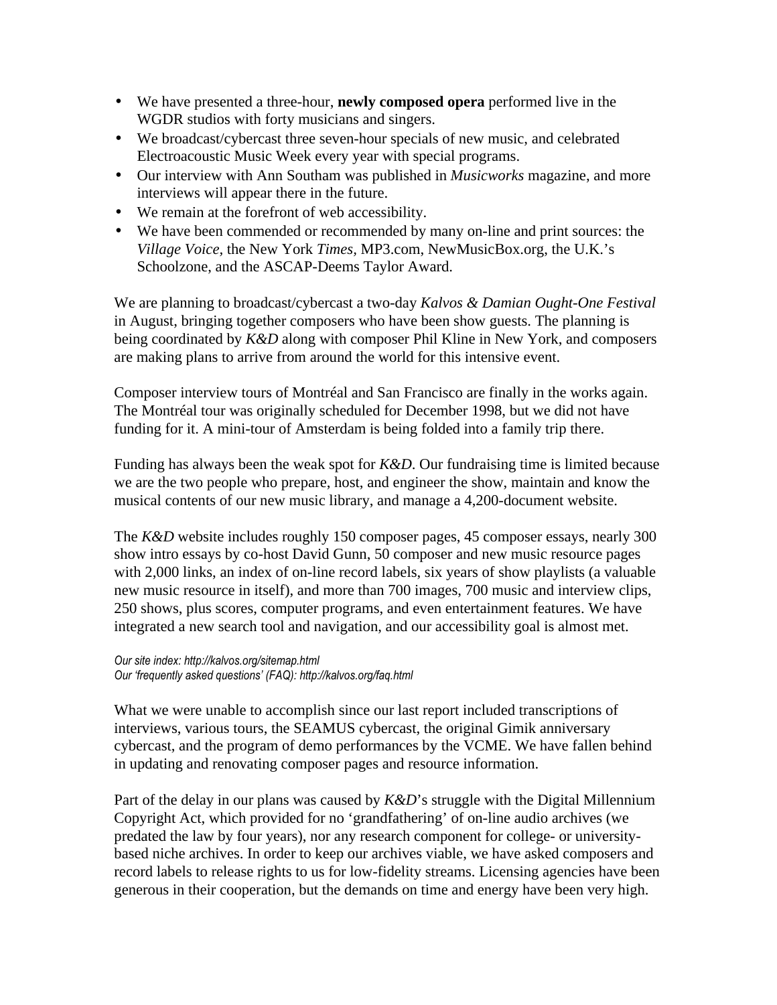- We have presented a three-hour, **newly composed opera** performed live in the WGDR studios with forty musicians and singers.
- We broadcast/cybercast three seven-hour specials of new music, and celebrated Electroacoustic Music Week every year with special programs.
- Our interview with Ann Southam was published in *Musicworks* magazine, and more interviews will appear there in the future.
- We remain at the forefront of web accessibility.
- We have been commended or recommended by many on-line and print sources: the *Village Voice,* the New York *Times,* MP3.com, NewMusicBox.org, the U.K.'s Schoolzone, and the ASCAP-Deems Taylor Award.

We are planning to broadcast/cybercast a two-day *Kalvos & Damian Ought-One Festival* in August, bringing together composers who have been show guests. The planning is being coordinated by *K&D* along with composer Phil Kline in New York, and composers are making plans to arrive from around the world for this intensive event.

Composer interview tours of Montréal and San Francisco are finally in the works again. The Montréal tour was originally scheduled for December 1998, but we did not have funding for it. A mini-tour of Amsterdam is being folded into a family trip there.

Funding has always been the weak spot for *K&D*. Our fundraising time is limited because we are the two people who prepare, host, and engineer the show, maintain and know the musical contents of our new music library, and manage a 4,200-document website.

The *K&D* website includes roughly 150 composer pages, 45 composer essays, nearly 300 show intro essays by co-host David Gunn, 50 composer and new music resource pages with 2,000 links, an index of on-line record labels, six years of show playlists (a valuable new music resource in itself), and more than 700 images, 700 music and interview clips, 250 shows, plus scores, computer programs, and even entertainment features. We have integrated a new search tool and navigation, and our accessibility goal is almost met.

Our site index: http://kalvos.org/sitemap.html Our 'frequently asked questions' (FAQ): http://kalvos.org/faq.html

What we were unable to accomplish since our last report included transcriptions of interviews, various tours, the SEAMUS cybercast, the original Gimik anniversary cybercast, and the program of demo performances by the VCME. We have fallen behind in updating and renovating composer pages and resource information.

Part of the delay in our plans was caused by *K&D*'s struggle with the Digital Millennium Copyright Act, which provided for no 'grandfathering' of on-line audio archives (we predated the law by four years), nor any research component for college- or universitybased niche archives. In order to keep our archives viable, we have asked composers and record labels to release rights to us for low-fidelity streams. Licensing agencies have been generous in their cooperation, but the demands on time and energy have been very high.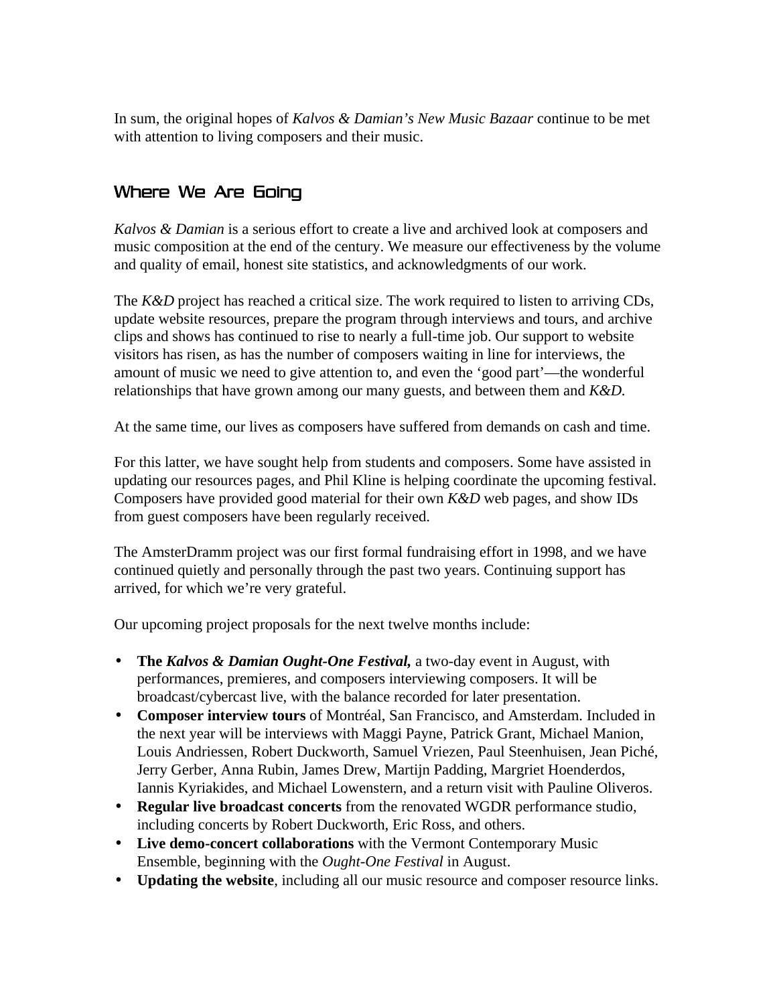In sum, the original hopes of *Kalvos & Damian's New Music Bazaar* continue to be met with attention to living composers and their music.

# Where We Are Going

*Kalvos & Damian* is a serious effort to create a live and archived look at composers and music composition at the end of the century. We measure our effectiveness by the volume and quality of email, honest site statistics, and acknowledgments of our work.

The *K&D* project has reached a critical size. The work required to listen to arriving CDs, update website resources, prepare the program through interviews and tours, and archive clips and shows has continued to rise to nearly a full-time job. Our support to website visitors has risen, as has the number of composers waiting in line for interviews, the amount of music we need to give attention to, and even the 'good part'—the wonderful relationships that have grown among our many guests, and between them and *K&D*.

At the same time, our lives as composers have suffered from demands on cash and time.

For this latter, we have sought help from students and composers. Some have assisted in updating our resources pages, and Phil Kline is helping coordinate the upcoming festival. Composers have provided good material for their own *K&D* web pages, and show IDs from guest composers have been regularly received.

The AmsterDramm project was our first formal fundraising effort in 1998, and we have continued quietly and personally through the past two years. Continuing support has arrived, for which we're very grateful.

Our upcoming project proposals for the next twelve months include:

- **The** *Kalvos & Damian Ought-One Festival,* a two-day event in August, with performances, premieres, and composers interviewing composers. It will be broadcast/cybercast live, with the balance recorded for later presentation.
- **Composer interview tours** of Montréal, San Francisco, and Amsterdam. Included in the next year will be interviews with Maggi Payne, Patrick Grant, Michael Manion, Louis Andriessen, Robert Duckworth, Samuel Vriezen, Paul Steenhuisen, Jean Piché, Jerry Gerber, Anna Rubin, James Drew, Martijn Padding, Margriet Hoenderdos, Iannis Kyriakides, and Michael Lowenstern, and a return visit with Pauline Oliveros.
- **Regular live broadcast concerts** from the renovated WGDR performance studio, including concerts by Robert Duckworth, Eric Ross, and others.
- **Live demo-concert collaborations** with the Vermont Contemporary Music Ensemble, beginning with the *Ought-One Festival* in August.
- **Updating the website**, including all our music resource and composer resource links.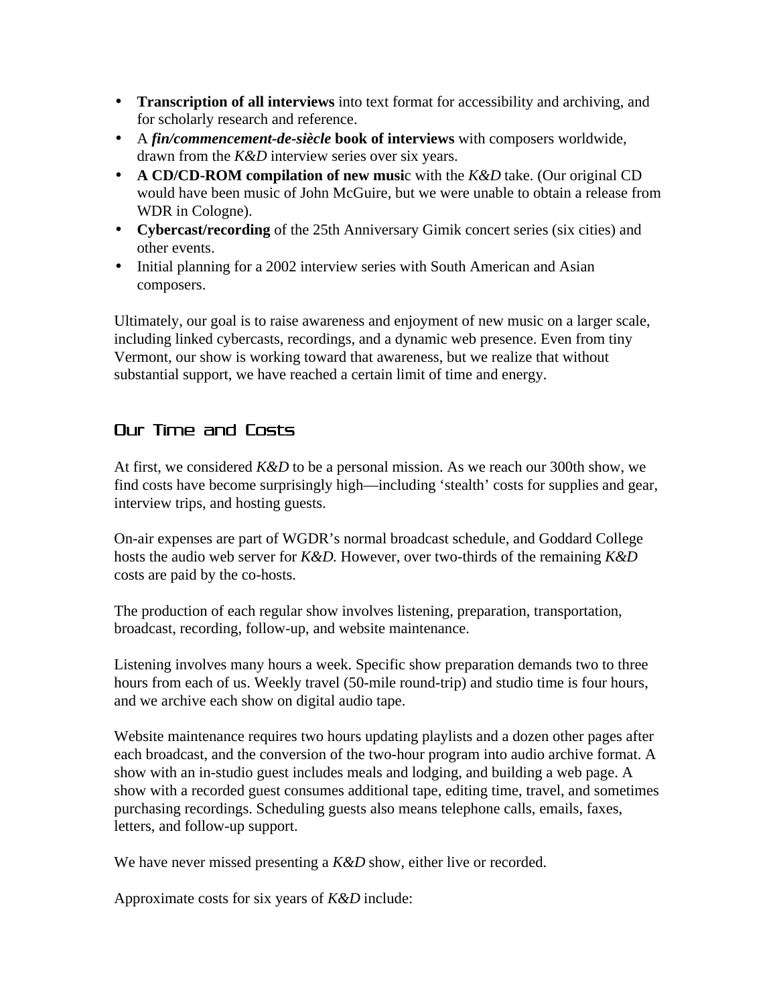- **Transcription of all interviews** into text format for accessibility and archiving, and for scholarly research and reference.
- A *fin/commencement-de-siècle* **book of interviews** with composers worldwide, drawn from the *K&D* interview series over six years.
- **A CD/CD-ROM compilation of new musi**c with the *K&D* take. (Our original CD would have been music of John McGuire, but we were unable to obtain a release from WDR in Cologne).
- **Cybercast/recording** of the 25th Anniversary Gimik concert series (six cities) and other events.
- Initial planning for a 2002 interview series with South American and Asian composers.

Ultimately, our goal is to raise awareness and enjoyment of new music on a larger scale, including linked cybercasts, recordings, and a dynamic web presence. Even from tiny Vermont, our show is working toward that awareness, but we realize that without substantial support, we have reached a certain limit of time and energy.

# Our Time and Costs

At first, we considered *K&D* to be a personal mission. As we reach our 300th show, we find costs have become surprisingly high—including 'stealth' costs for supplies and gear, interview trips, and hosting guests.

On-air expenses are part of WGDR's normal broadcast schedule, and Goddard College hosts the audio web server for *K&D.* However, over two-thirds of the remaining *K&D* costs are paid by the co-hosts.

The production of each regular show involves listening, preparation, transportation, broadcast, recording, follow-up, and website maintenance.

Listening involves many hours a week. Specific show preparation demands two to three hours from each of us. Weekly travel (50-mile round-trip) and studio time is four hours, and we archive each show on digital audio tape.

Website maintenance requires two hours updating playlists and a dozen other pages after each broadcast, and the conversion of the two-hour program into audio archive format. A show with an in-studio guest includes meals and lodging, and building a web page. A show with a recorded guest consumes additional tape, editing time, travel, and sometimes purchasing recordings. Scheduling guests also means telephone calls, emails, faxes, letters, and follow-up support.

We have never missed presenting a *K&D* show, either live or recorded.

Approximate costs for six years of *K&D* include: